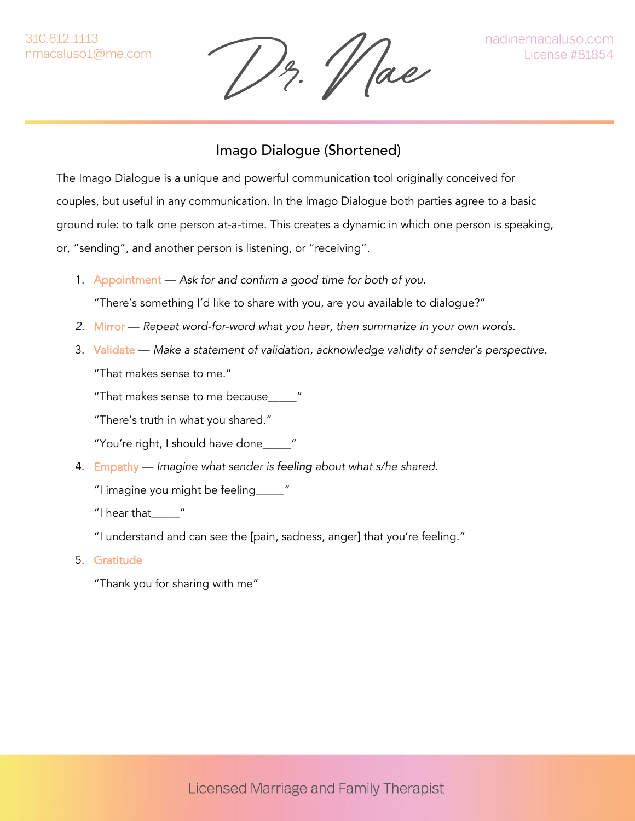13. Vae

## Imago Dialogue (Shortened)

The Imago Dialogue is a unique and powerful communication tool originally conceived for couples, but useful in any communication. In the Imago Dialogue both parties agree to a basic ground rule: to talk one person at-a-time. This creates a dynamic in which one person is speaking, or, "sending", and another person is listening, or "receiving".

1. Appointment — *Ask for and confirm a good time for both of you.*

"There's something I'd like to share with you, are you available to dialogue?"

- *2.* Mirror *Repeat word-for-word what you hear, then summarize in your own words.*
- 3. Validate *Make a statement of validation, acknowledge validity of sender's perspective.* "That makes sense to me."

"That makes sense to me because\_\_\_\_\_"

"There's truth in what you shared."

"You're right, I should have done\_\_\_\_\_"

4. Empathy — *Imagine what sender is feeling about what s/he shared.*

"I imagine you might be feeling\_\_\_\_\_"

"I hear that\_\_\_\_\_"

"I understand and can see the [pain, sadness, anger] that you're feeling."

5. Gratitude

"Thank you for sharing with me"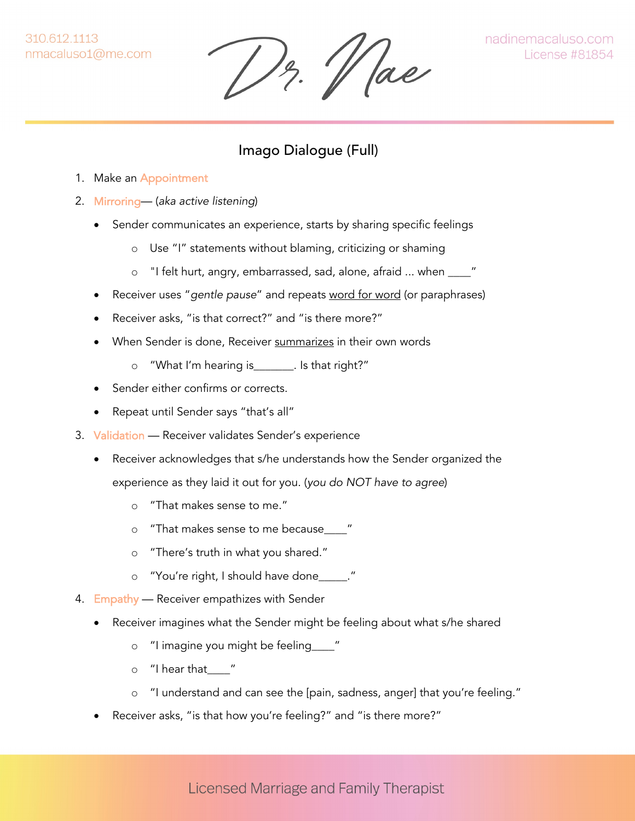310.612.1113 nmacaluso1@me.com

 $\frac{1}{2}$ .  $\frac{1}{2}$  ae

## Imago Dialogue (Full)

- 1. Make an Appointment
- 2. Mirroring— (*aka active listening*)
	- Sender communicates an experience, starts by sharing specific feelings
		- o Use "I" statements without blaming, criticizing or shaming
		- o "I felt hurt, angry, embarrassed, sad, alone, afraid ... when \_\_\_\_"
	- Receiver uses "*gentle pause*" and repeats word for word (or paraphrases)
	- Receiver asks, "is that correct?" and "is there more?"
	- When Sender is done, Receiver summarizes in their own words
		- o "What I'm hearing is\_\_\_\_\_\_\_. Is that right?"
	- Sender either confirms or corrects.
	- Repeat until Sender says "that's all"
- 3. Validation Receiver validates Sender's experience
	- Receiver acknowledges that s/he understands how the Sender organized the experience as they laid it out for you. (*you do NOT have to agree*)
		- o "That makes sense to me."
		- o "That makes sense to me because\_\_\_\_"
		- o "There's truth in what you shared."
		- o "You're right, I should have done\_\_\_\_\_."
- 4. Empathy Receiver empathizes with Sender
	- Receiver imagines what the Sender might be feeling about what s/he shared
		- o "I imagine you might be feeling\_\_\_\_"
		- $\circ$  "I hear that "
		- o "I understand and can see the [pain, sadness, anger] that you're feeling."
	- Receiver asks, "is that how you're feeling?" and "is there more?"